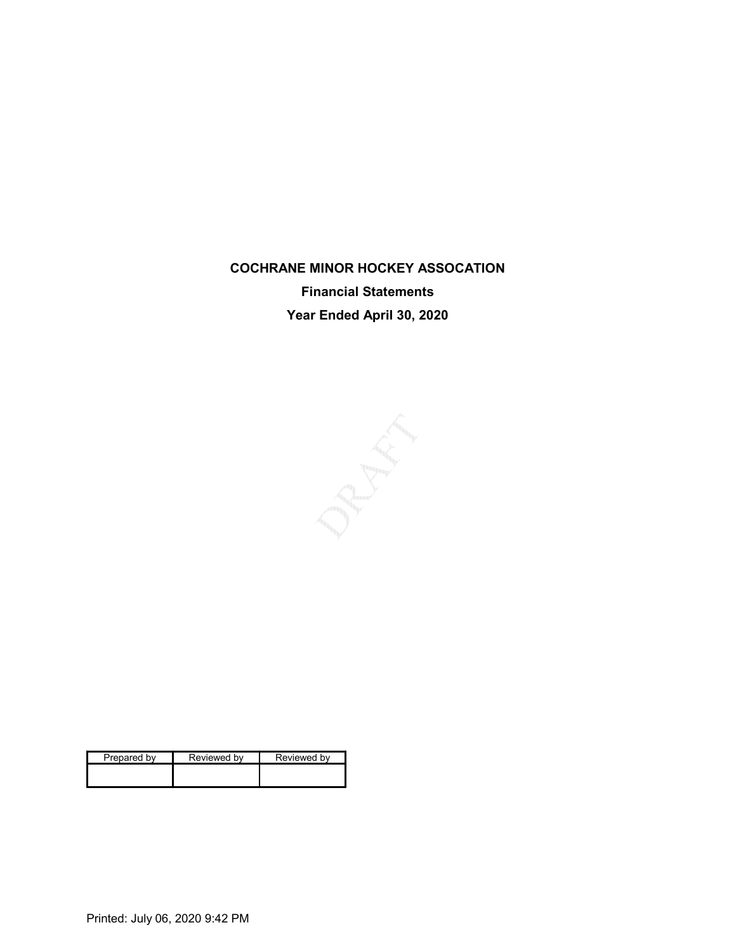## COCHRANE MINOR HOCKEY ASSOCATION Financial Statements Year Ended April 30, 2020

| Prepared by | Reviewed by | Reviewed by |
|-------------|-------------|-------------|
|             |             |             |
|             |             |             |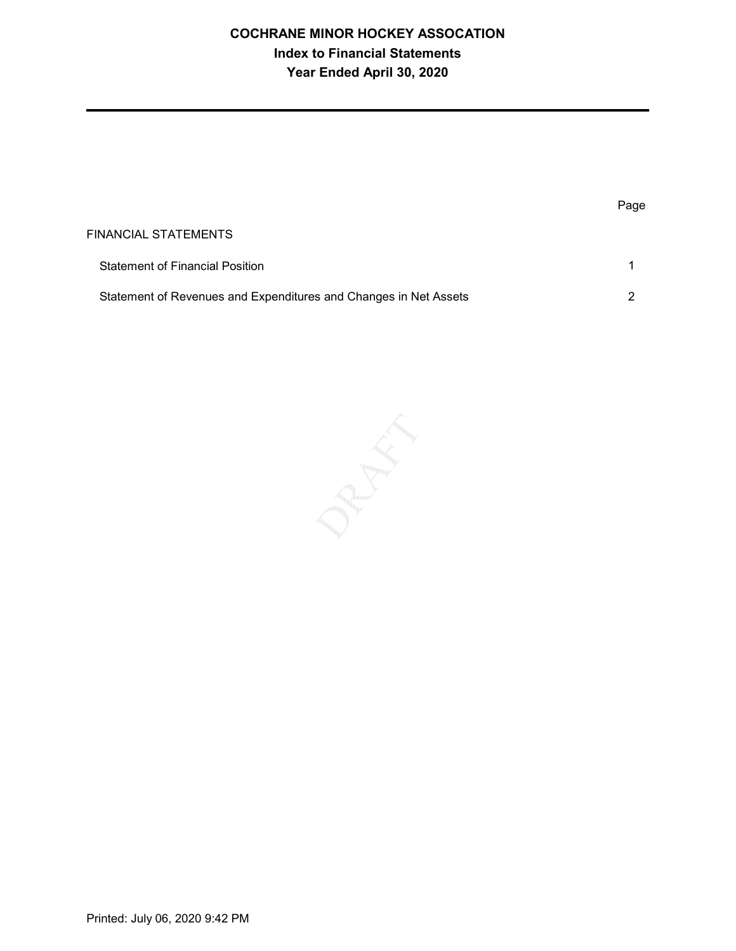## COCHRANE MINOR HOCKEY ASSOCATION Index to Financial Statements Year Ended April 30, 2020

|                                                                  | Page |
|------------------------------------------------------------------|------|
| FINANCIAL STATEMENTS                                             |      |
| <b>Statement of Financial Position</b>                           |      |
| Statement of Revenues and Expenditures and Changes in Net Assets | ◠    |

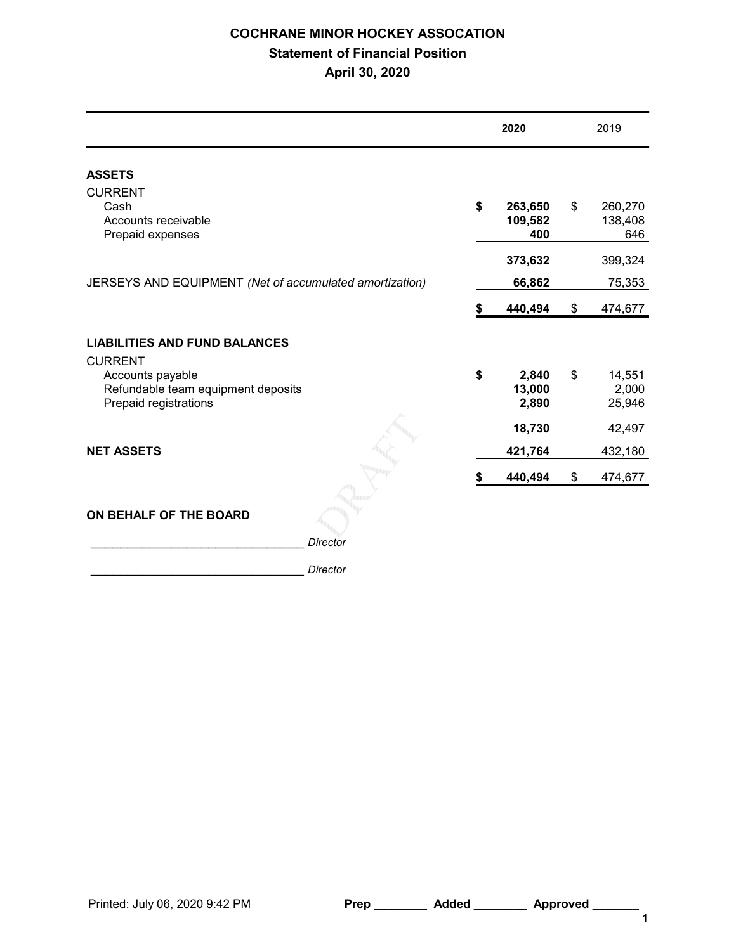## COCHRANE MINOR HOCKEY ASSOCATION Statement of Financial Position April 30, 2020

|                                                                                                   | 2020                            | 2019                            |
|---------------------------------------------------------------------------------------------------|---------------------------------|---------------------------------|
| <b>ASSETS</b>                                                                                     |                                 |                                 |
| <b>CURRENT</b><br>Cash<br>Accounts receivable<br>Prepaid expenses                                 | \$<br>263,650<br>109,582<br>400 | \$<br>260,270<br>138,408<br>646 |
|                                                                                                   | 373,632                         | 399,324                         |
| JERSEYS AND EQUIPMENT (Net of accumulated amortization)                                           | 66,862                          | 75,353                          |
|                                                                                                   | \$<br>440,494                   | \$<br>474,677                   |
| <b>LIABILITIES AND FUND BALANCES</b>                                                              |                                 |                                 |
| <b>CURRENT</b><br>Accounts payable<br>Refundable team equipment deposits<br>Prepaid registrations | \$<br>2,840<br>13,000<br>2,890  | \$<br>14,551<br>2,000<br>25,946 |
|                                                                                                   | 18,730                          | 42,497                          |
| <b>NET ASSETS</b>                                                                                 | 421,764                         | 432,180                         |
|                                                                                                   | 440,494                         | \$<br>474,677                   |
| ON BEHALF OF THE BOARD                                                                            |                                 |                                 |
| <b>Director</b>                                                                                   |                                 |                                 |
| <b>Director</b>                                                                                   |                                 |                                 |